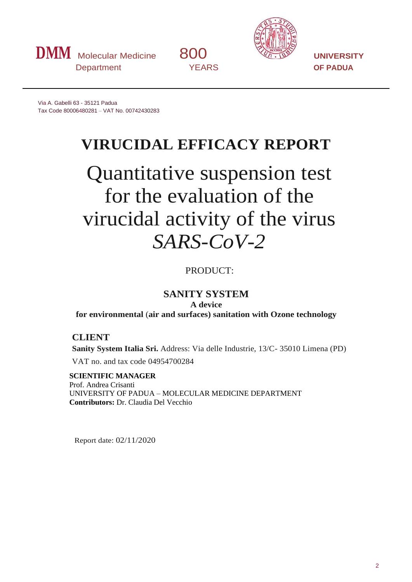



Via A. Gabelli 63 - 35121 Padua Tax Code 80006480281 – VAT No. 00742430283

# **VIRUCIDAL EFFICACY REPORT**

# Quantitative suspension test for the evaluation of the virucidal activity of the virus *SARS-CoV-2*

PRODUCT:

# **SANITY SYSTEM**

**A device**

**for environmental** (**air and surfaces) sanitation with Ozone technology**

# **CLIENT**

**Sanity System Italia Sri.** Address: Via delle Industrie, 13/C- 35010 Limena (PD)

VAT no. and tax code 04954700284

**SCIENTIFIC MANAGER** Prof. Andrea Crisanti UNIVERSITY OF PADUA – MOLECULAR MEDICINE DEPARTMENT **Contributors:** Dr. Claudia Del Vecchio

Report date: 02/11/2020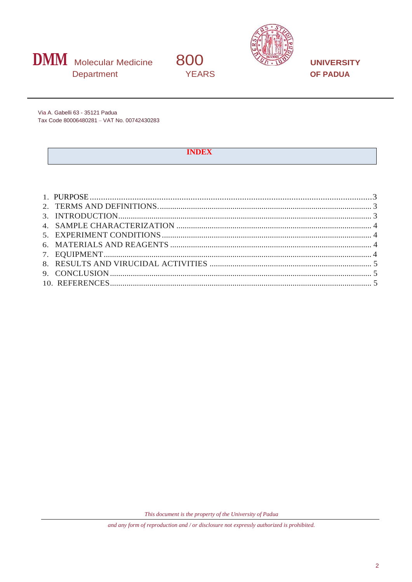



**UNIVERSITY OF PADUA** 

Via A. Gabelli 63 - 35121 Padua Tax Code 80006480281 - VAT No. 00742430283

#### **INDEX**

800

**YEARS** 

This document is the property of the University of Padua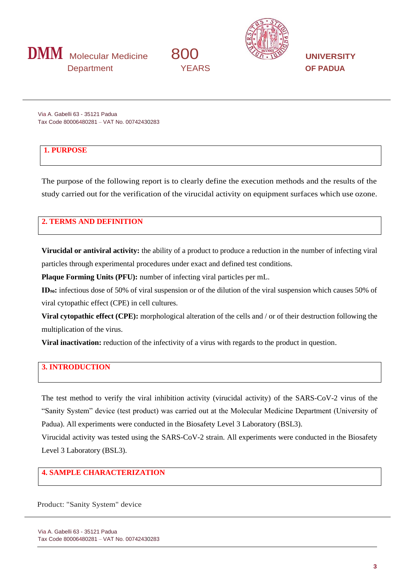





Via A. Gabelli 63 - 35121 Padua Tax Code 80006480281 – VAT No. 00742430283

# **1. PURPOSE**

The purpose of the following report is to clearly define the execution methods and the results of the study carried out for the verification of the virucidal activity on equipment surfaces which use ozone.

#### **2. TERMS AND DEFINITION**

**Virucidal or antiviral activity:** the ability of a product to produce a reduction in the number of infecting viral particles through experimental procedures under exact and defined test conditions.

**Plaque Forming Units (PFU):** number of infecting viral particles per mL.

**ID**<sub>50</sub>: infectious dose of 50% of viral suspension or of the dilution of the viral suspension which causes 50% of viral cytopathic effect (CPE) in cell cultures.

**Viral cytopathic effect (CPE):** morphological alteration of the cells and / or of their destruction following the multiplication of the virus.

**Viral inactivation:** reduction of the infectivity of a virus with regards to the product in question.

# <span id="page-2-0"></span>**3. INTRODUCTION**

The test method to verify the viral inhibition activity (virucidal activity) of the SARS-CoV-2 virus of the "Sanity System" device (test product) was carried out at the Molecular Medicine Department (University of Padua). All experiments were conducted in the Biosafety Level 3 Laboratory (BSL3).

Virucidal activity was tested using the SARS-CoV-2 strain. All experiments were conducted in the Biosafety Level 3 Laboratory (BSL3).

# **4. SAMPLE CHARACTERIZATION**

Product: "Sanity System" device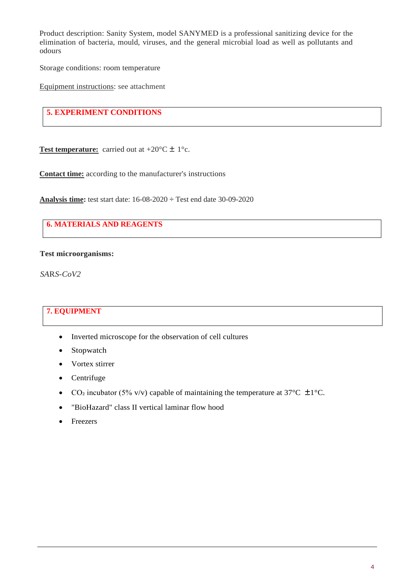Product description: Sanity System, model SANYMED is a professional sanitizing device for the elimination of bacteria, mould, viruses, and the general microbial load as well as pollutants and odours

Storage conditions: room temperature

Equipment instructions: see attachment

# **5. EXPERIMENT CONDITIONS**

**Test temperature:** carried out at  $+20^{\circ}C \pm 1^{\circ}c$ .

**Contact time:** according to the manufacturer's instructions

**Analysis time:** test start date: 16-08-2020 ÷ Test end date 30-09-2020

# **6. MATERIALS AND REAGENTS**

#### **Test microorganisms:**

*SA*R*S-CoV2*

### <span id="page-3-0"></span>**7. EQUIPMENT**

- Inverted microscope for the observation of cell cultures
- Stopwatch
- Vortex stirrer
- Centrifuge
- CO<sub>2</sub> incubator (5% v/v) capable of maintaining the temperature at 37°C  $\pm$ 1°C.
- "BioHazard" class II vertical laminar flow hood
- **Freezers**